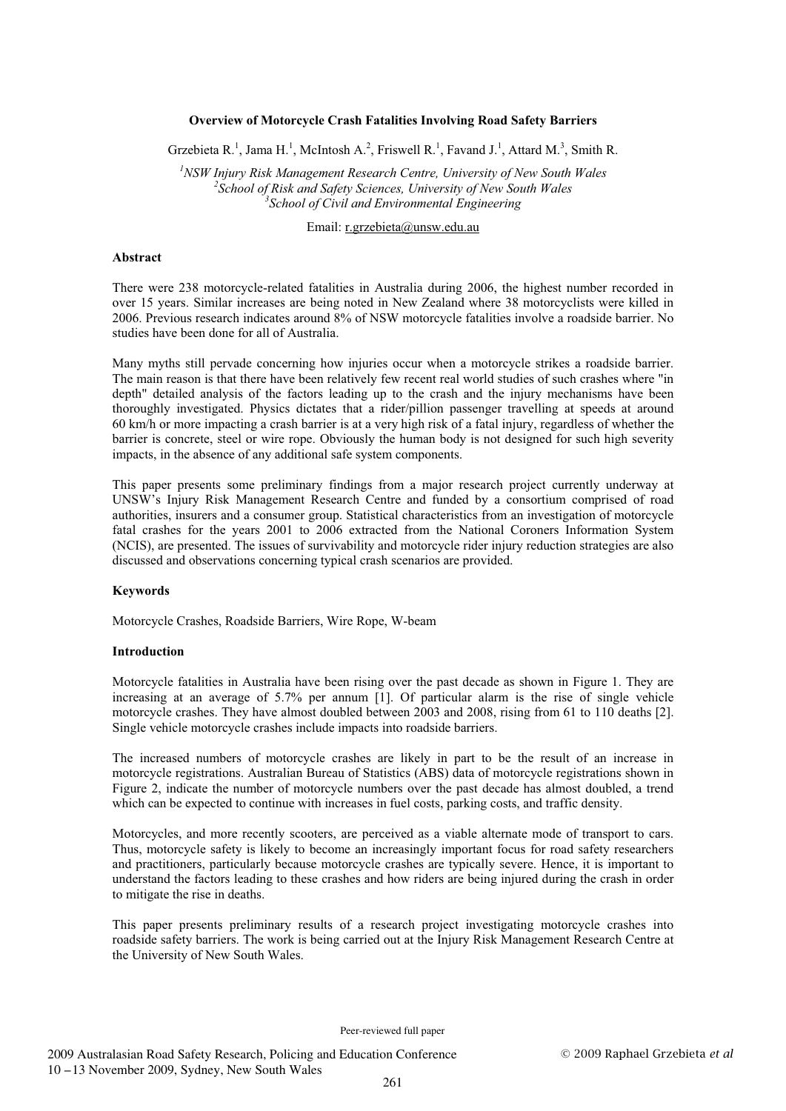### **Overview of Motorcycle Crash Fatalities Involving Road Safety Barriers**

Grzebieta R.<sup>1</sup>, Jama H.<sup>1</sup>, McIntosh A.<sup>2</sup>, Friswell R.<sup>1</sup>, Favand J.<sup>1</sup>, Attard M.<sup>3</sup>, Smith R.

<sup>1</sup> NSW Injury Risk Management Research Centre, University of New South Wales <sup>2</sup> School of Piek and Safaty Sciences, University of New South Wales <sup>2</sup> School of Risk and Safety Sciences, University of New South Wales *School of Civil and Environmental Engineering* 

# Email: r.grzebieta@unsw.edu.au

#### **Abstract**

There were 238 motorcycle-related fatalities in Australia during 2006, the highest number recorded in over 15 years. Similar increases are being noted in New Zealand where 38 motorcyclists were killed in 2006. Previous research indicates around 8% of NSW motorcycle fatalities involve a roadside barrier. No studies have been done for all of Australia.

Many myths still pervade concerning how injuries occur when a motorcycle strikes a roadside barrier. The main reason is that there have been relatively few recent real world studies of such crashes where "in depth" detailed analysis of the factors leading up to the crash and the injury mechanisms have been thoroughly investigated. Physics dictates that a rider/pillion passenger travelling at speeds at around 60 km/h or more impacting a crash barrier is at a very high risk of a fatal injury, regardless of whether the barrier is concrete, steel or wire rope. Obviously the human body is not designed for such high severity impacts, in the absence of any additional safe system components.

This paper presents some preliminary findings from a major research project currently underway at UNSW's Injury Risk Management Research Centre and funded by a consortium comprised of road authorities, insurers and a consumer group. Statistical characteristics from an investigation of motorcycle fatal crashes for the years 2001 to 2006 extracted from the National Coroners Information System (NCIS), are presented. The issues of survivability and motorcycle rider injury reduction strategies are also discussed and observations concerning typical crash scenarios are provided.

#### **Keywords**

Motorcycle Crashes, Roadside Barriers, Wire Rope, W-beam

#### **Introduction**

Motorcycle fatalities in Australia have been rising over the past decade as shown in Figure 1. They are increasing at an average of 5.7% per annum [1]. Of particular alarm is the rise of single vehicle motorcycle crashes. They have almost doubled between 2003 and 2008, rising from 61 to 110 deaths [2]. Single vehicle motorcycle crashes include impacts into roadside barriers.

The increased numbers of motorcycle crashes are likely in part to be the result of an increase in motorcycle registrations. Australian Bureau of Statistics (ABS) data of motorcycle registrations shown in Figure 2, indicate the number of motorcycle numbers over the past decade has almost doubled, a trend which can be expected to continue with increases in fuel costs, parking costs, and traffic density.

Motorcycles, and more recently scooters, are perceived as a viable alternate mode of transport to cars. Thus, motorcycle safety is likely to become an increasingly important focus for road safety researchers and practitioners, particularly because motorcycle crashes are typically severe. Hence, it is important to understand the factors leading to these crashes and how riders are being injured during the crash in order to mitigate the rise in deaths.

This paper presents preliminary results of a research project investigating motorcycle crashes into roadside safety barriers. The work is being carried out at the Injury Risk Management Research Centre at the University of New South Wales.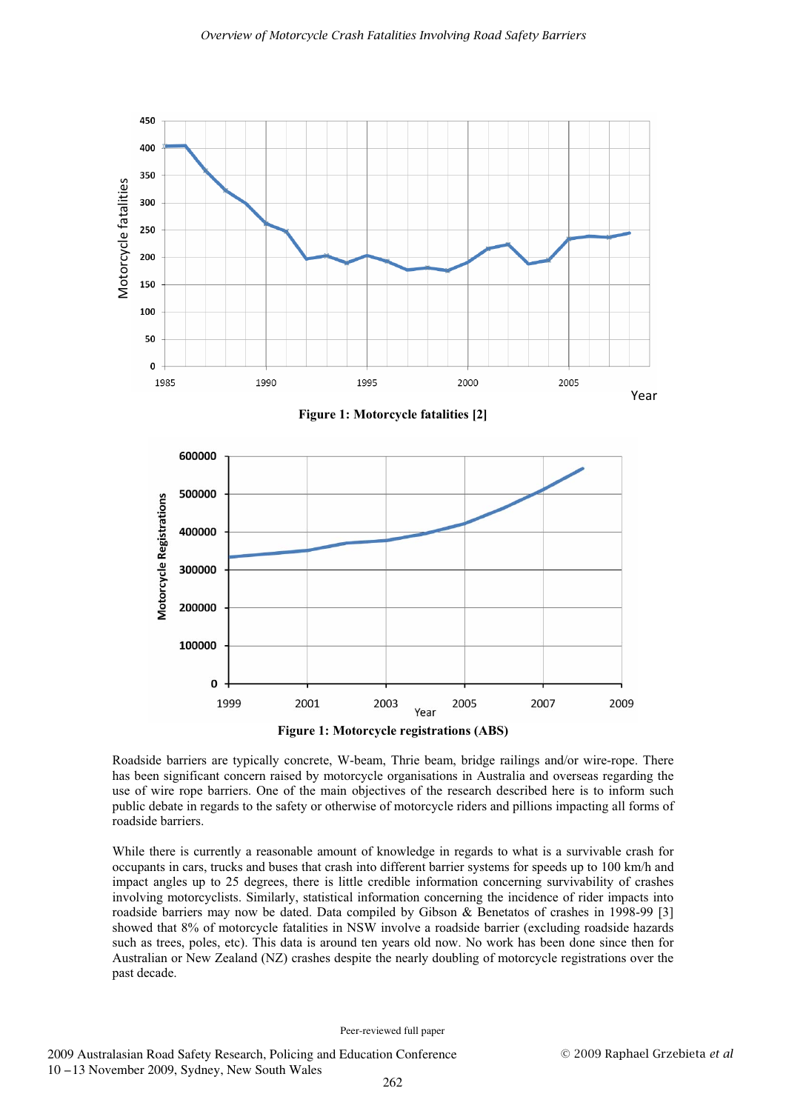



**Figure 1: Motorcycle registrations (ABS)**

Roadside barriers are typically concrete, W-beam, Thrie beam, bridge railings and/or wire-rope. There has been significant concern raised by motorcycle organisations in Australia and overseas regarding the use of wire rope barriers. One of the main objectives of the research described here is to inform such public debate in regards to the safety or otherwise of motorcycle riders and pillions impacting all forms of roadside barriers.

While there is currently a reasonable amount of knowledge in regards to what is a survivable crash for occupants in cars, trucks and buses that crash into different barrier systems for speeds up to 100 km/h and impact angles up to 25 degrees, there is little credible information concerning survivability of crashes involving motorcyclists. Similarly, statistical information concerning the incidence of rider impacts into roadside barriers may now be dated. Data compiled by Gibson & Benetatos of crashes in 1998-99 [3] showed that 8% of motorcycle fatalities in NSW involve a roadside barrier (excluding roadside hazards such as trees, poles, etc). This data is around ten years old now. No work has been done since then for Australian or New Zealand (NZ) crashes despite the nearly doubling of motorcycle registrations over the past decade.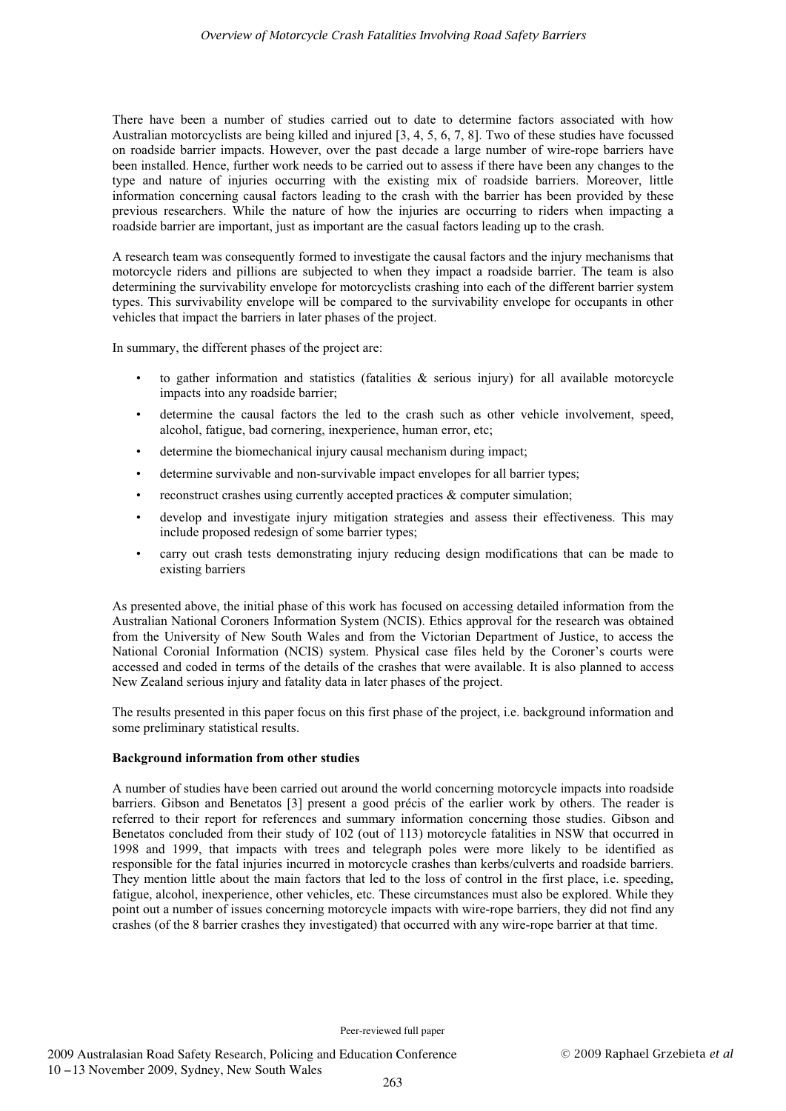There have been a number of studies carried out to date to determine factors associated with how Australian motorcyclists are being killed and injured [3, 4, 5, 6, 7, 8]. Two of these studies have focussed on roadside barrier impacts. However, over the past decade a large number of wire-rope barriers have been installed. Hence, further work needs to be carried out to assess if there have been any changes to the type and nature of injuries occurring with the existing mix of roadside barriers. Moreover, little information concerning causal factors leading to the crash with the barrier has been provided by these previous researchers. While the nature of how the injuries are occurring to riders when impacting a roadside barrier are important, just as important are the casual factors leading up to the crash.

A research team was consequently formed to investigate the causal factors and the injury mechanisms that motorcycle riders and pillions are subjected to when they impact a roadside barrier. The team is also determining the survivability envelope for motorcyclists crashing into each of the different barrier system types. This survivability envelope will be compared to the survivability envelope for occupants in other vehicles that impact the barriers in later phases of the project.

In summary, the different phases of the project are:

- to gather information and statistics (fatalities  $\&$  serious injury) for all available motorcycle impacts into any roadside barrier;
- determine the causal factors the led to the crash such as other vehicle involvement, speed, alcohol, fatigue, bad cornering, inexperience, human error, etc;
- determine the biomechanical injury causal mechanism during impact;
- determine survivable and non-survivable impact envelopes for all barrier types;
- reconstruct crashes using currently accepted practices  $\&$  computer simulation;
- develop and investigate injury mitigation strategies and assess their effectiveness. This may include proposed redesign of some barrier types;
- carry out crash tests demonstrating injury reducing design modifications that can be made to existing barriers

As presented above, the initial phase of this work has focused on accessing detailed information from the Australian National Coroners Information System (NCIS). Ethics approval for the research was obtained from the University of New South Wales and from the Victorian Department of Justice, to access the National Coronial Information (NCIS) system. Physical case files held by the Coroner's courts were accessed and coded in terms of the details of the crashes that were available. It is also planned to access New Zealand serious injury and fatality data in later phases of the project.

The results presented in this paper focus on this first phase of the project, i.e. background information and some preliminary statistical results.

# **Background information from other studies**

A number of studies have been carried out around the world concerning motorcycle impacts into roadside barriers. Gibson and Benetatos [3] present a good précis of the earlier work by others. The reader is referred to their report for references and summary information concerning those studies. Gibson and Benetatos concluded from their study of 102 (out of 113) motorcycle fatalities in NSW that occurred in 1998 and 1999, that impacts with trees and telegraph poles were more likely to be identified as responsible for the fatal injuries incurred in motorcycle crashes than kerbs/culverts and roadside barriers. They mention little about the main factors that led to the loss of control in the first place, i.e. speeding, fatigue, alcohol, inexperience, other vehicles, etc. These circumstances must also be explored. While they point out a number of issues concerning motorcycle impacts with wire-rope barriers, they did not find any crashes (of the 8 barrier crashes they investigated) that occurred with any wire-rope barrier at that time.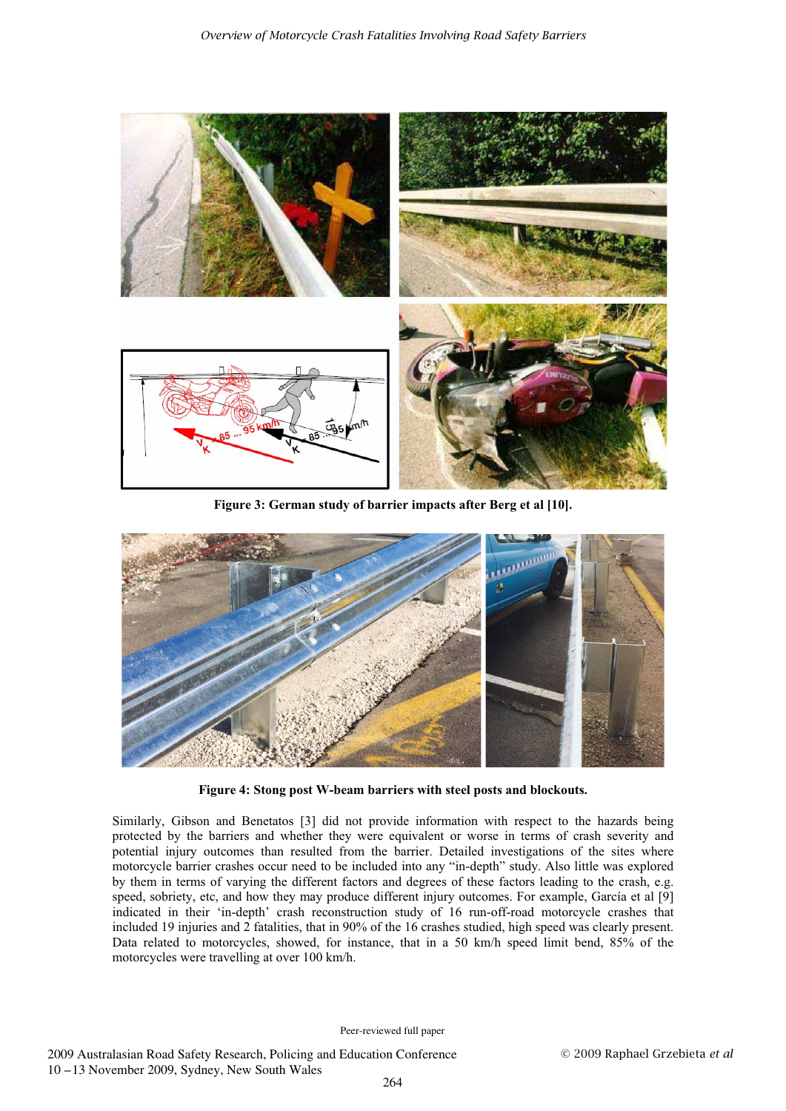

**Figure 3: German study of barrier impacts after Berg et al [10].** 



**Figure 4: Stong post W-beam barriers with steel posts and blockouts.**

Similarly, Gibson and Benetatos [3] did not provide information with respect to the hazards being protected by the barriers and whether they were equivalent or worse in terms of crash severity and potential injury outcomes than resulted from the barrier. Detailed investigations of the sites where motorcycle barrier crashes occur need to be included into any "in-depth" study. Also little was explored by them in terms of varying the different factors and degrees of these factors leading to the crash, e.g. speed, sobriety, etc, and how they may produce different injury outcomes. For example, García et al [9] indicated in their 'in-depth' crash reconstruction study of 16 run-off-road motorcycle crashes that included 19 injuries and 2 fatalities, that in 90% of the 16 crashes studied, high speed was clearly present. Data related to motorcycles, showed, for instance, that in a 50 km/h speed limit bend, 85% of the motorcycles were travelling at over 100 km/h.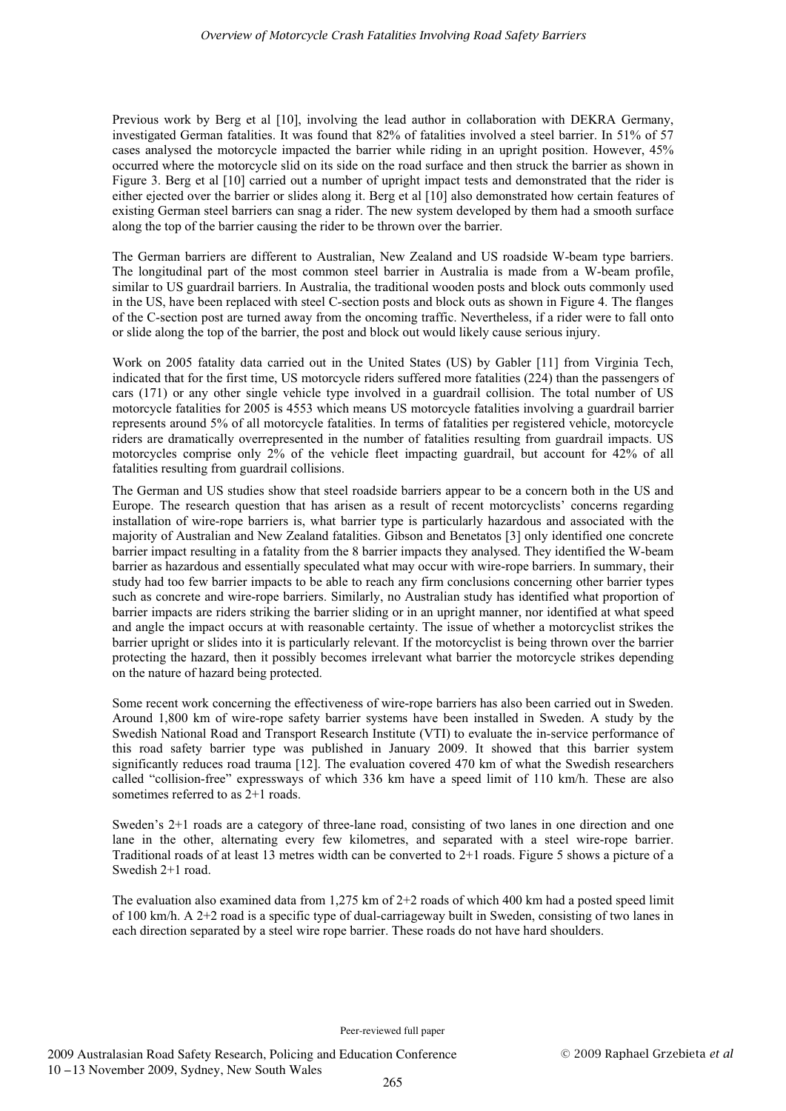Previous work by Berg et al [10], involving the lead author in collaboration with DEKRA Germany, investigated German fatalities. It was found that 82% of fatalities involved a steel barrier. In 51% of 57 cases analysed the motorcycle impacted the barrier while riding in an upright position. However, 45% occurred where the motorcycle slid on its side on the road surface and then struck the barrier as shown in Figure 3. Berg et al [10] carried out a number of upright impact tests and demonstrated that the rider is either ejected over the barrier or slides along it. Berg et al [10] also demonstrated how certain features of existing German steel barriers can snag a rider. The new system developed by them had a smooth surface along the top of the barrier causing the rider to be thrown over the barrier.

The German barriers are different to Australian, New Zealand and US roadside W-beam type barriers. The longitudinal part of the most common steel barrier in Australia is made from a W-beam profile, similar to US guardrail barriers. In Australia, the traditional wooden posts and block outs commonly used in the US, have been replaced with steel C-section posts and block outs as shown in Figure 4. The flanges of the C-section post are turned away from the oncoming traffic. Nevertheless, if a rider were to fall onto or slide along the top of the barrier, the post and block out would likely cause serious injury.

Work on 2005 fatality data carried out in the United States (US) by Gabler [11] from Virginia Tech, indicated that for the first time, US motorcycle riders suffered more fatalities (224) than the passengers of cars (171) or any other single vehicle type involved in a guardrail collision. The total number of US motorcycle fatalities for 2005 is 4553 which means US motorcycle fatalities involving a guardrail barrier represents around 5% of all motorcycle fatalities. In terms of fatalities per registered vehicle, motorcycle riders are dramatically overrepresented in the number of fatalities resulting from guardrail impacts. US motorcycles comprise only 2% of the vehicle fleet impacting guardrail, but account for 42% of all fatalities resulting from guardrail collisions.

The German and US studies show that steel roadside barriers appear to be a concern both in the US and Europe. The research question that has arisen as a result of recent motorcyclists' concerns regarding installation of wire-rope barriers is, what barrier type is particularly hazardous and associated with the majority of Australian and New Zealand fatalities. Gibson and Benetatos [3] only identified one concrete barrier impact resulting in a fatality from the 8 barrier impacts they analysed. They identified the W-beam barrier as hazardous and essentially speculated what may occur with wire-rope barriers. In summary, their study had too few barrier impacts to be able to reach any firm conclusions concerning other barrier types such as concrete and wire-rope barriers. Similarly, no Australian study has identified what proportion of barrier impacts are riders striking the barrier sliding or in an upright manner, nor identified at what speed and angle the impact occurs at with reasonable certainty. The issue of whether a motorcyclist strikes the barrier upright or slides into it is particularly relevant. If the motorcyclist is being thrown over the barrier protecting the hazard, then it possibly becomes irrelevant what barrier the motorcycle strikes depending on the nature of hazard being protected.

Some recent work concerning the effectiveness of wire-rope barriers has also been carried out in Sweden. Around 1,800 km of wire-rope safety barrier systems have been installed in Sweden. A study by the Swedish National Road and Transport Research Institute (VTI) to evaluate the in-service performance of this road safety barrier type was published in January 2009. It showed that this barrier system significantly reduces road trauma [12]. The evaluation covered 470 km of what the Swedish researchers called "collision-free" expressways of which 336 km have a speed limit of 110 km/h. These are also sometimes referred to as 2+1 roads.

Sweden's 2+1 roads are a category of three-lane road, consisting of two lanes in one direction and one lane in the other, alternating every few kilometres, and separated with a steel wire-rope barrier. Traditional roads of at least 13 metres width can be converted to 2+1 roads. Figure 5 shows a picture of a Swedish 2+1 road.

The evaluation also examined data from 1,275 km of 2+2 roads of which 400 km had a posted speed limit of 100 km/h. A 2+2 road is a specific type of dual-carriageway built in Sweden, consisting of two lanes in each direction separated by a steel wire rope barrier. These roads do not have hard shoulders.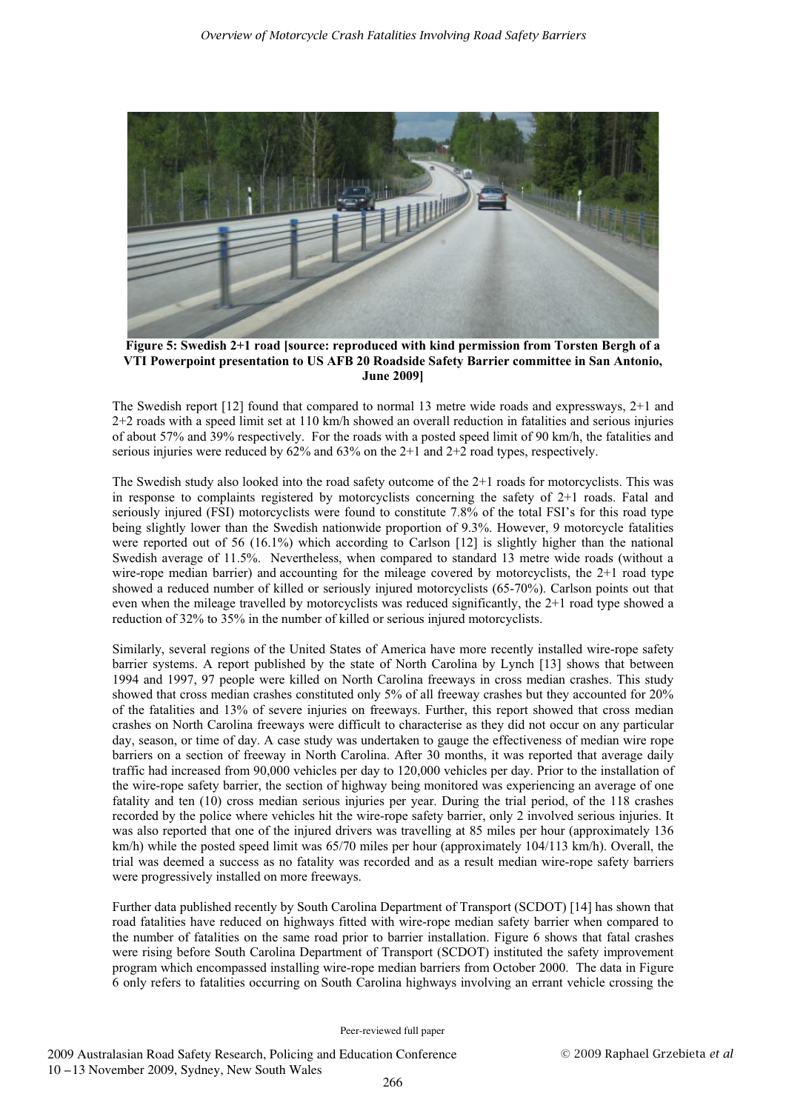

**Figure 5: Swedish 2+1 road [source: reproduced with kind permission from Torsten Bergh of a VTI Powerpoint presentation to US AFB 20 Roadside Safety Barrier committee in San Antonio, June 2009]** 

The Swedish report [12] found that compared to normal 13 metre wide roads and expressways, 2+1 and 2+2 roads with a speed limit set at 110 km/h showed an overall reduction in fatalities and serious injuries of about 57% and 39% respectively. For the roads with a posted speed limit of 90 km/h, the fatalities and serious injuries were reduced by 62% and 63% on the 2+1 and 2+2 road types, respectively.

The Swedish study also looked into the road safety outcome of the 2+1 roads for motorcyclists. This was in response to complaints registered by motorcyclists concerning the safety of 2+1 roads. Fatal and seriously injured (FSI) motorcyclists were found to constitute 7.8% of the total FSI's for this road type being slightly lower than the Swedish nationwide proportion of 9.3%. However, 9 motorcycle fatalities were reported out of 56 (16.1%) which according to Carlson [12] is slightly higher than the national Swedish average of 11.5%. Nevertheless, when compared to standard 13 metre wide roads (without a wire-rope median barrier) and accounting for the mileage covered by motorcyclists, the 2+1 road type showed a reduced number of killed or seriously injured motorcyclists (65-70%). Carlson points out that even when the mileage travelled by motorcyclists was reduced significantly, the 2+1 road type showed a reduction of 32% to 35% in the number of killed or serious injured motorcyclists.

Similarly, several regions of the United States of America have more recently installed wire-rope safety barrier systems. A report published by the state of North Carolina by Lynch [13] shows that between 1994 and 1997, 97 people were killed on North Carolina freeways in cross median crashes. This study showed that cross median crashes constituted only 5% of all freeway crashes but they accounted for 20% of the fatalities and 13% of severe injuries on freeways. Further, this report showed that cross median crashes on North Carolina freeways were difficult to characterise as they did not occur on any particular day, season, or time of day. A case study was undertaken to gauge the effectiveness of median wire rope barriers on a section of freeway in North Carolina. After 30 months, it was reported that average daily traffic had increased from 90,000 vehicles per day to 120,000 vehicles per day. Prior to the installation of the wire-rope safety barrier, the section of highway being monitored was experiencing an average of one fatality and ten (10) cross median serious injuries per year. During the trial period, of the 118 crashes recorded by the police where vehicles hit the wire-rope safety barrier, only 2 involved serious injuries. It was also reported that one of the injured drivers was travelling at 85 miles per hour (approximately 136 km/h) while the posted speed limit was 65/70 miles per hour (approximately 104/113 km/h). Overall, the trial was deemed a success as no fatality was recorded and as a result median wire-rope safety barriers were progressively installed on more freeways.

Further data published recently by South Carolina Department of Transport (SCDOT) [14] has shown that road fatalities have reduced on highways fitted with wire-rope median safety barrier when compared to the number of fatalities on the same road prior to barrier installation. Figure 6 shows that fatal crashes were rising before South Carolina Department of Transport (SCDOT) instituted the safety improvement program which encompassed installing wire-rope median barriers from October 2000. The data in Figure 6 only refers to fatalities occurring on South Carolina highways involving an errant vehicle crossing the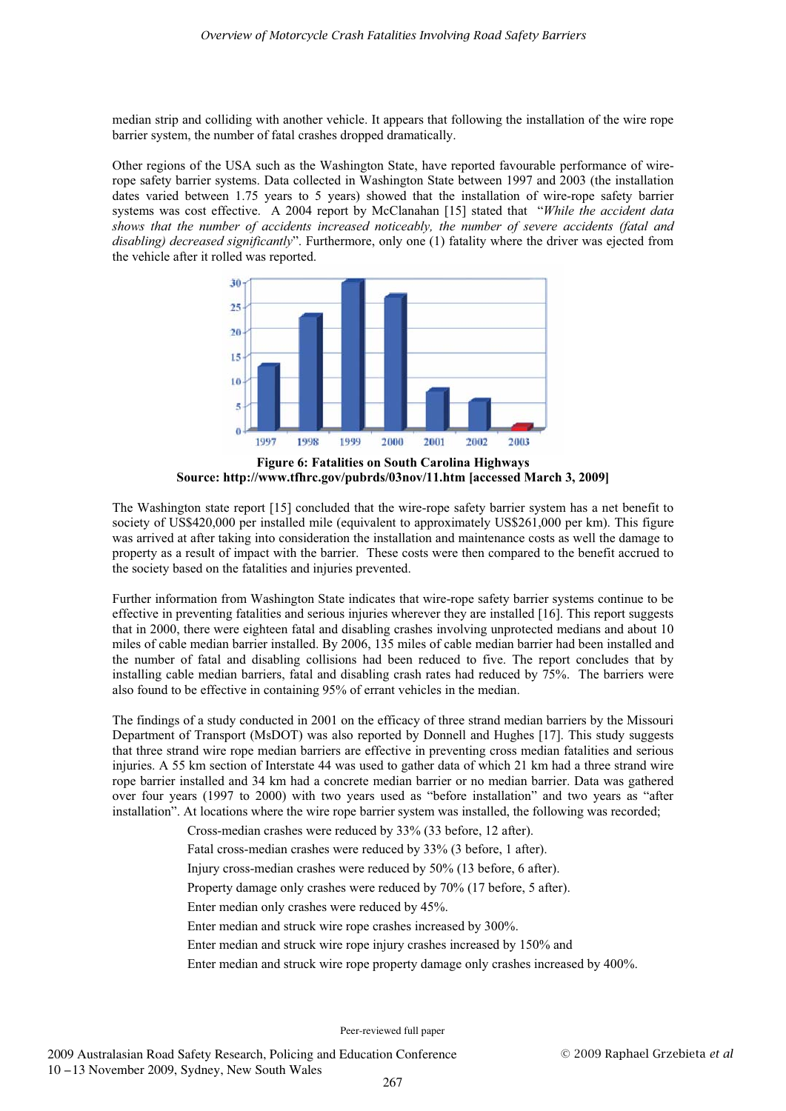median strip and colliding with another vehicle. It appears that following the installation of the wire rope barrier system, the number of fatal crashes dropped dramatically.

Other regions of the USA such as the Washington State, have reported favourable performance of wirerope safety barrier systems. Data collected in Washington State between 1997 and 2003 (the installation dates varied between 1.75 years to 5 years) showed that the installation of wire-rope safety barrier systems was cost effective. A 2004 report by McClanahan [15] stated that "*While the accident data shows that the number of accidents increased noticeably, the number of severe accidents (fatal and disabling) decreased significantly*". Furthermore, only one (1) fatality where the driver was ejected from the vehicle after it rolled was reported.



**Figure 6: Fatalities on South Carolina Highways Source: http://www.tfhrc.gov/pubrds/03nov/11.htm [accessed March 3, 2009]** 

The Washington state report [15] concluded that the wire-rope safety barrier system has a net benefit to society of US\$420,000 per installed mile (equivalent to approximately US\$261,000 per km). This figure was arrived at after taking into consideration the installation and maintenance costs as well the damage to property as a result of impact with the barrier. These costs were then compared to the benefit accrued to the society based on the fatalities and injuries prevented.

Further information from Washington State indicates that wire-rope safety barrier systems continue to be effective in preventing fatalities and serious injuries wherever they are installed [16]. This report suggests that in 2000, there were eighteen fatal and disabling crashes involving unprotected medians and about 10 miles of cable median barrier installed. By 2006, 135 miles of cable median barrier had been installed and the number of fatal and disabling collisions had been reduced to five. The report concludes that by installing cable median barriers, fatal and disabling crash rates had reduced by 75%. The barriers were also found to be effective in containing 95% of errant vehicles in the median.

The findings of a study conducted in 2001 on the efficacy of three strand median barriers by the Missouri Department of Transport (MsDOT) was also reported by Donnell and Hughes [17]. This study suggests that three strand wire rope median barriers are effective in preventing cross median fatalities and serious injuries. A 55 km section of Interstate 44 was used to gather data of which 21 km had a three strand wire rope barrier installed and 34 km had a concrete median barrier or no median barrier. Data was gathered over four years (1997 to 2000) with two years used as "before installation" and two years as "after installation". At locations where the wire rope barrier system was installed, the following was recorded;

- Cross-median crashes were reduced by 33% (33 before, 12 after).
- Fatal cross-median crashes were reduced by 33% (3 before, 1 after).
- Injury cross-median crashes were reduced by 50% (13 before, 6 after).
- Property damage only crashes were reduced by 70% (17 before, 5 after).
- Enter median only crashes were reduced by 45%.
- Enter median and struck wire rope crashes increased by 300%.
- Enter median and struck wire rope injury crashes increased by 150% and
- Enter median and struck wire rope property damage only crashes increased by 400%.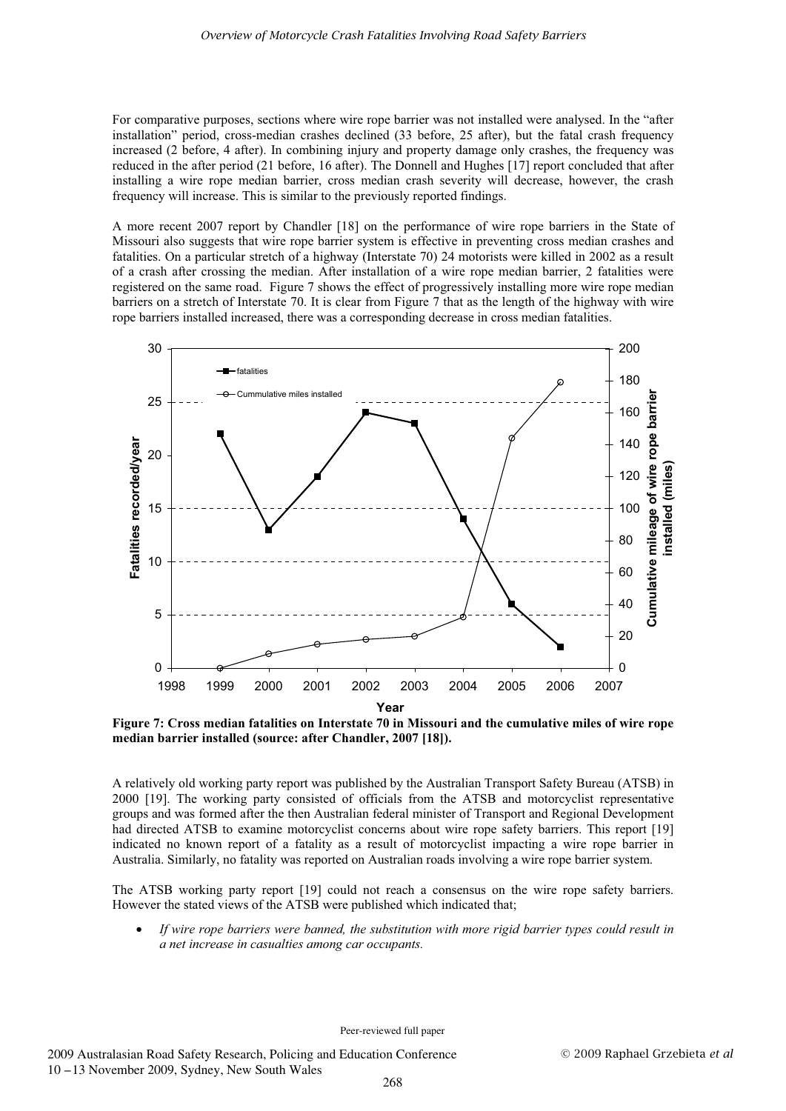For comparative purposes, sections where wire rope barrier was not installed were analysed. In the "after installation" period, cross-median crashes declined (33 before, 25 after), but the fatal crash frequency increased (2 before, 4 after). In combining injury and property damage only crashes, the frequency was reduced in the after period (21 before, 16 after). The Donnell and Hughes [17] report concluded that after installing a wire rope median barrier, cross median crash severity will decrease, however, the crash frequency will increase. This is similar to the previously reported findings.

A more recent 2007 report by Chandler [18] on the performance of wire rope barriers in the State of Missouri also suggests that wire rope barrier system is effective in preventing cross median crashes and fatalities. On a particular stretch of a highway (Interstate 70) 24 motorists were killed in 2002 as a result of a crash after crossing the median. After installation of a wire rope median barrier, 2 fatalities were registered on the same road. Figure 7 shows the effect of progressively installing more wire rope median barriers on a stretch of Interstate 70. It is clear from Figure 7 that as the length of the highway with wire rope barriers installed increased, there was a corresponding decrease in cross median fatalities.



**Figure 7: Cross median fatalities on Interstate 70 in Missouri and the cumulative miles of wire rope median barrier installed (source: after Chandler, 2007 [18]).** 

A relatively old working party report was published by the Australian Transport Safety Bureau (ATSB) in 2000 [19]. The working party consisted of officials from the ATSB and motorcyclist representative groups and was formed after the then Australian federal minister of Transport and Regional Development had directed ATSB to examine motorcyclist concerns about wire rope safety barriers. This report [19] indicated no known report of a fatality as a result of motorcyclist impacting a wire rope barrier in Australia. Similarly, no fatality was reported on Australian roads involving a wire rope barrier system.

The ATSB working party report [19] could not reach a consensus on the wire rope safety barriers. However the stated views of the ATSB were published which indicated that;

- *If wire rope barriers were banned, the substitution with more rigid barrier types could result in a net increase in casualties among car occupants.*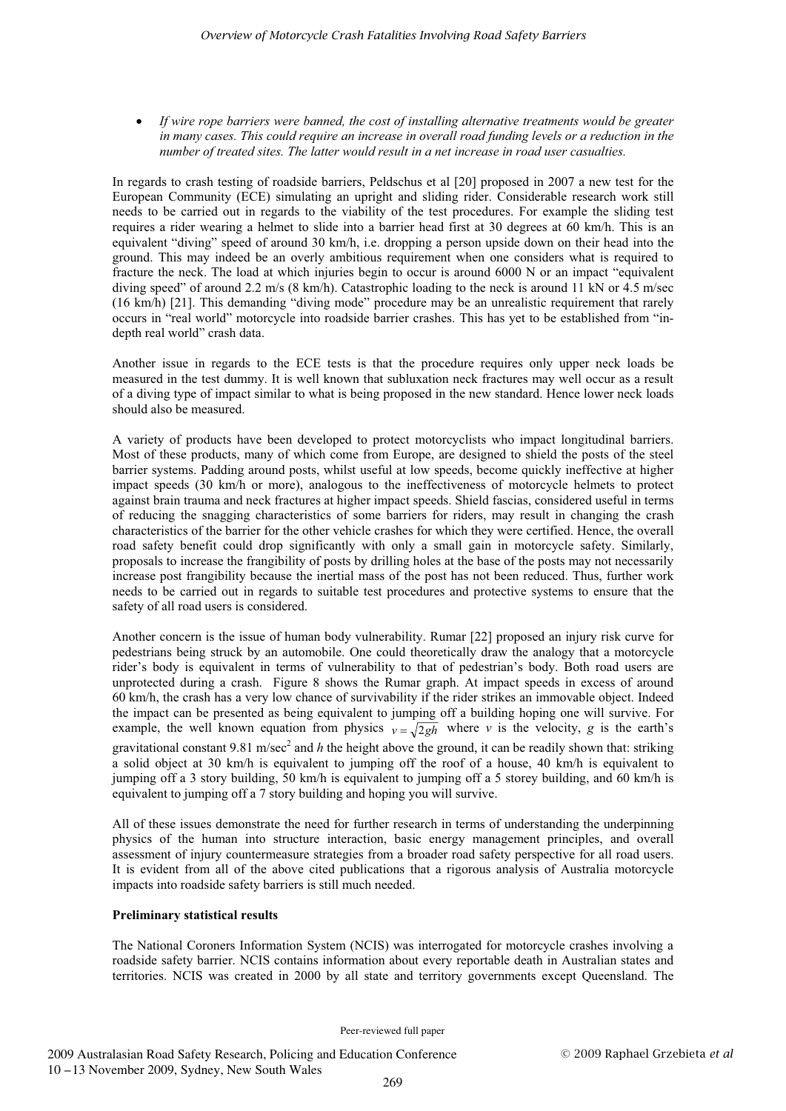- *If wire rope barriers were banned, the cost of installing alternative treatments would be greater in many cases. This could require an increase in overall road funding levels or a reduction in the number of treated sites. The latter would result in a net increase in road user casualties.* 

In regards to crash testing of roadside barriers, Peldschus et al [20] proposed in 2007 a new test for the European Community (ECE) simulating an upright and sliding rider. Considerable research work still needs to be carried out in regards to the viability of the test procedures. For example the sliding test requires a rider wearing a helmet to slide into a barrier head first at 30 degrees at 60 km/h. This is an equivalent "diving" speed of around 30 km/h, i.e. dropping a person upside down on their head into the ground. This may indeed be an overly ambitious requirement when one considers what is required to fracture the neck. The load at which injuries begin to occur is around 6000 N or an impact "equivalent diving speed" of around 2.2 m/s (8 km/h). Catastrophic loading to the neck is around 11 kN or 4.5 m/sec (16 km/h) [21]. This demanding "diving mode" procedure may be an unrealistic requirement that rarely occurs in "real world" motorcycle into roadside barrier crashes. This has yet to be established from "indepth real world" crash data.

Another issue in regards to the ECE tests is that the procedure requires only upper neck loads be measured in the test dummy. It is well known that subluxation neck fractures may well occur as a result of a diving type of impact similar to what is being proposed in the new standard. Hence lower neck loads should also be measured.

A variety of products have been developed to protect motorcyclists who impact longitudinal barriers. Most of these products, many of which come from Europe, are designed to shield the posts of the steel barrier systems. Padding around posts, whilst useful at low speeds, become quickly ineffective at higher impact speeds (30 km/h or more), analogous to the ineffectiveness of motorcycle helmets to protect against brain trauma and neck fractures at higher impact speeds. Shield fascias, considered useful in terms of reducing the snagging characteristics of some barriers for riders, may result in changing the crash characteristics of the barrier for the other vehicle crashes for which they were certified. Hence, the overall road safety benefit could drop significantly with only a small gain in motorcycle safety. Similarly, proposals to increase the frangibility of posts by drilling holes at the base of the posts may not necessarily increase post frangibility because the inertial mass of the post has not been reduced. Thus, further work needs to be carried out in regards to suitable test procedures and protective systems to ensure that the safety of all road users is considered.

Another concern is the issue of human body vulnerability. Rumar [22] proposed an injury risk curve for pedestrians being struck by an automobile. One could theoretically draw the analogy that a motorcycle rider's body is equivalent in terms of vulnerability to that of pedestrian's body. Both road users are unprotected during a crash. Figure 8 shows the Rumar graph. At impact speeds in excess of around 60 km/h, the crash has a very low chance of survivability if the rider strikes an immovable object. Indeed the impact can be presented as being equivalent to jumping off a building hoping one will survive. For example, the well known equation from physics  $v = \sqrt{2gh}$  where *v* is the velocity, *g* is the earth's gravitational constant 9.81 m/sec<sup>2</sup> and *h* the height above the ground, it can be readily shown that: striking a solid object at 30 km/h is equivalent to jumping off the roof of a house, 40 km/h is equivalent to jumping off a 3 story building, 50 km/h is equivalent to jumping off a 5 storey building, and 60 km/h is equivalent to jumping off a 7 story building and hoping you will survive.

All of these issues demonstrate the need for further research in terms of understanding the underpinning physics of the human into structure interaction, basic energy management principles, and overall assessment of injury countermeasure strategies from a broader road safety perspective for all road users. It is evident from all of the above cited publications that a rigorous analysis of Australia motorcycle impacts into roadside safety barriers is still much needed.

# **Preliminary statistical results**

The National Coroners Information System (NCIS) was interrogated for motorcycle crashes involving a roadside safety barrier. NCIS contains information about every reportable death in Australian states and territories. NCIS was created in 2000 by all state and territory governments except Queensland. The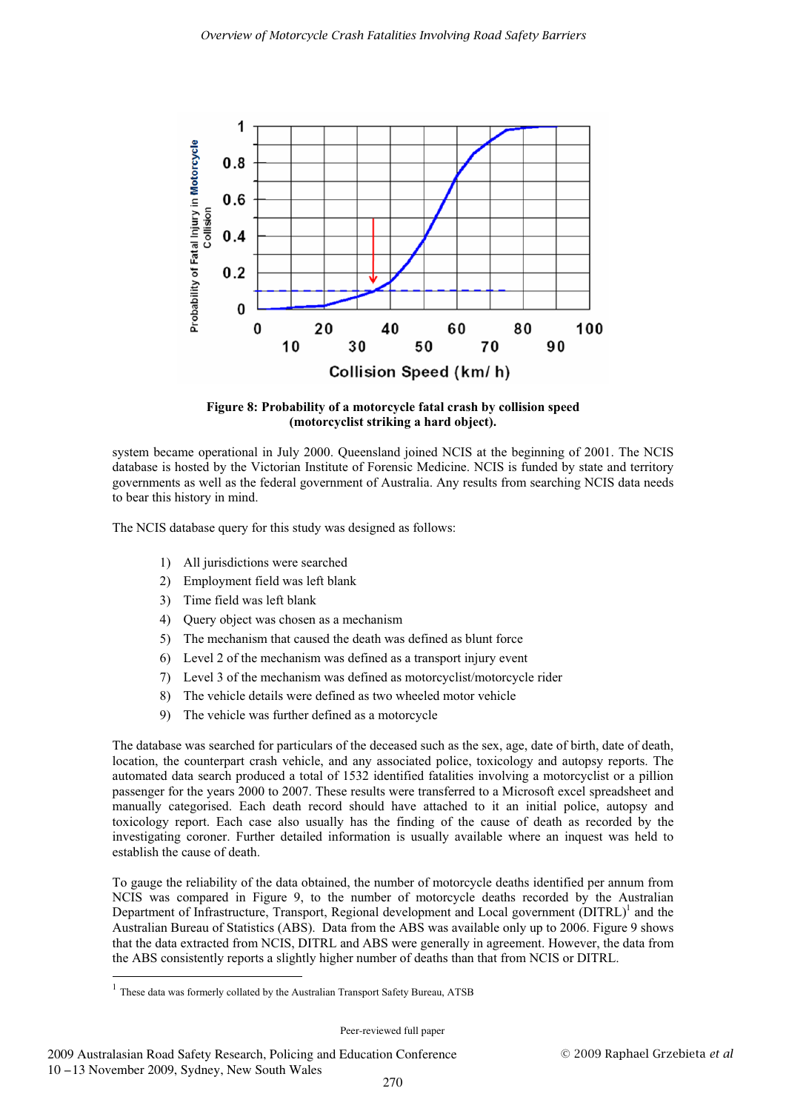

**Figure 8: Probability of a motorcycle fatal crash by collision speed (motorcyclist striking a hard object).** 

system became operational in July 2000. Queensland joined NCIS at the beginning of 2001. The NCIS database is hosted by the Victorian Institute of Forensic Medicine. NCIS is funded by state and territory governments as well as the federal government of Australia. Any results from searching NCIS data needs to bear this history in mind.

The NCIS database query for this study was designed as follows:

- 1) All jurisdictions were searched
- 2) Employment field was left blank
- 3) Time field was left blank
- 4) Query object was chosen as a mechanism
- 5) The mechanism that caused the death was defined as blunt force
- 6) Level 2 of the mechanism was defined as a transport injury event
- 7) Level 3 of the mechanism was defined as motorcyclist/motorcycle rider
- 8) The vehicle details were defined as two wheeled motor vehicle
- 9) The vehicle was further defined as a motorcycle

The database was searched for particulars of the deceased such as the sex, age, date of birth, date of death, location, the counterpart crash vehicle, and any associated police, toxicology and autopsy reports. The automated data search produced a total of 1532 identified fatalities involving a motorcyclist or a pillion passenger for the years 2000 to 2007. These results were transferred to a Microsoft excel spreadsheet and manually categorised. Each death record should have attached to it an initial police, autopsy and toxicology report. Each case also usually has the finding of the cause of death as recorded by the investigating coroner. Further detailed information is usually available where an inquest was held to establish the cause of death.

To gauge the reliability of the data obtained, the number of motorcycle deaths identified per annum from NCIS was compared in Figure 9, to the number of motorcycle deaths recorded by the Australian Department of Infrastructure, Transport, Regional development and Local government (DITRL)<sup>1</sup> and the Australian Bureau of Statistics (ABS). Data from the ABS was available only up to 2006. Figure 9 shows that the data extracted from NCIS, DITRL and ABS were generally in agreement. However, the data from the ABS consistently reports a slightly higher number of deaths than that from NCIS or DITRL. -----------------------------------------------------------

 $<sup>1</sup>$  These data was formerly collated by the Australian Transport Safety Bureau, ATSB</sup>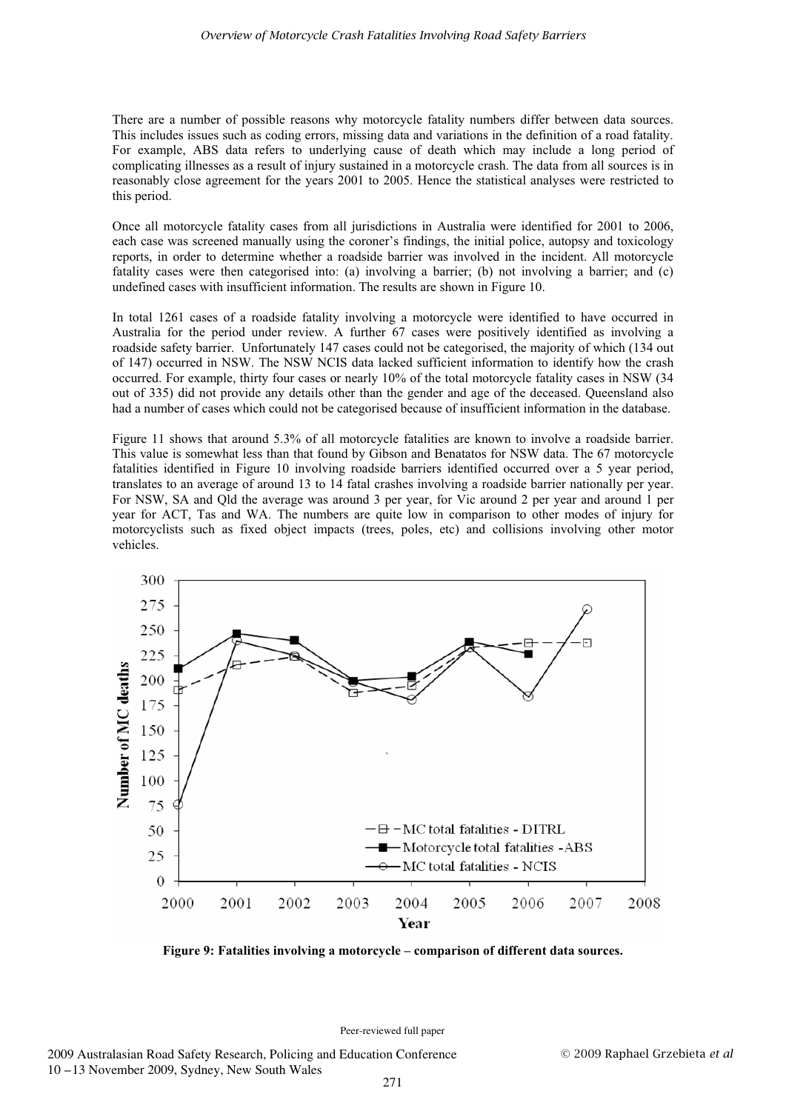There are a number of possible reasons why motorcycle fatality numbers differ between data sources. This includes issues such as coding errors, missing data and variations in the definition of a road fatality. For example, ABS data refers to underlying cause of death which may include a long period of complicating illnesses as a result of injury sustained in a motorcycle crash. The data from all sources is in reasonably close agreement for the years 2001 to 2005. Hence the statistical analyses were restricted to this period.

Once all motorcycle fatality cases from all jurisdictions in Australia were identified for 2001 to 2006, each case was screened manually using the coroner's findings, the initial police, autopsy and toxicology reports, in order to determine whether a roadside barrier was involved in the incident. All motorcycle fatality cases were then categorised into: (a) involving a barrier; (b) not involving a barrier; and (c) undefined cases with insufficient information. The results are shown in Figure 10.

In total 1261 cases of a roadside fatality involving a motorcycle were identified to have occurred in Australia for the period under review. A further 67 cases were positively identified as involving a roadside safety barrier. Unfortunately 147 cases could not be categorised, the majority of which (134 out of 147) occurred in NSW. The NSW NCIS data lacked sufficient information to identify how the crash occurred. For example, thirty four cases or nearly 10% of the total motorcycle fatality cases in NSW (34 out of 335) did not provide any details other than the gender and age of the deceased. Queensland also had a number of cases which could not be categorised because of insufficient information in the database.

Figure 11 shows that around 5.3% of all motorcycle fatalities are known to involve a roadside barrier. This value is somewhat less than that found by Gibson and Benatatos for NSW data. The 67 motorcycle fatalities identified in Figure 10 involving roadside barriers identified occurred over a 5 year period, translates to an average of around 13 to 14 fatal crashes involving a roadside barrier nationally per year. For NSW, SA and Qld the average was around 3 per year, for Vic around 2 per year and around 1 per year for ACT, Tas and WA. The numbers are quite low in comparison to other modes of injury for motorcyclists such as fixed object impacts (trees, poles, etc) and collisions involving other motor vehicles.



**Figure 9: Fatalities involving a motorcycle – comparison of different data sources.**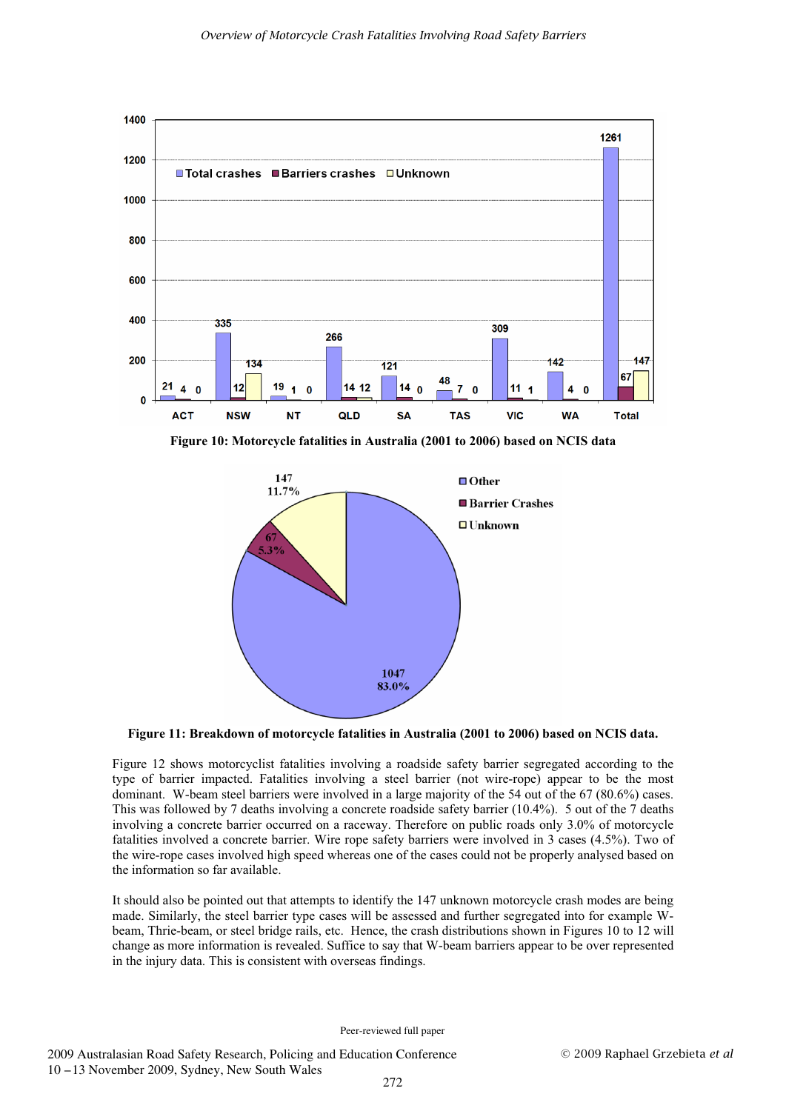

**Figure 10: Motorcycle fatalities in Australia (2001 to 2006) based on NCIS data** 



**Figure 11: Breakdown of motorcycle fatalities in Australia (2001 to 2006) based on NCIS data.** 

Figure 12 shows motorcyclist fatalities involving a roadside safety barrier segregated according to the type of barrier impacted. Fatalities involving a steel barrier (not wire-rope) appear to be the most dominant. W-beam steel barriers were involved in a large majority of the 54 out of the 67 (80.6%) cases. This was followed by 7 deaths involving a concrete roadside safety barrier (10.4%). 5 out of the 7 deaths involving a concrete barrier occurred on a raceway. Therefore on public roads only 3.0% of motorcycle fatalities involved a concrete barrier. Wire rope safety barriers were involved in 3 cases (4.5%). Two of the wire-rope cases involved high speed whereas one of the cases could not be properly analysed based on the information so far available.

It should also be pointed out that attempts to identify the 147 unknown motorcycle crash modes are being made. Similarly, the steel barrier type cases will be assessed and further segregated into for example Wbeam, Thrie-beam, or steel bridge rails, etc. Hence, the crash distributions shown in Figures 10 to 12 will change as more information is revealed. Suffice to say that W-beam barriers appear to be over represented in the injury data. This is consistent with overseas findings.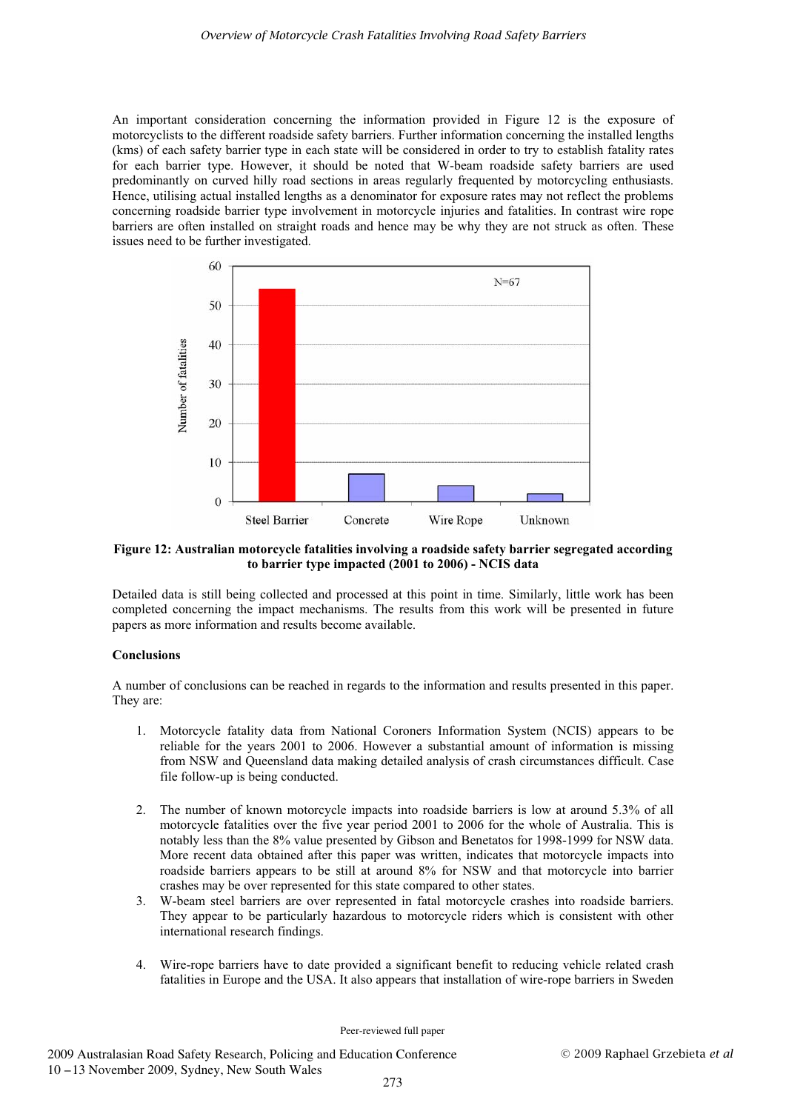An important consideration concerning the information provided in Figure 12 is the exposure of motorcyclists to the different roadside safety barriers. Further information concerning the installed lengths (kms) of each safety barrier type in each state will be considered in order to try to establish fatality rates for each barrier type. However, it should be noted that W-beam roadside safety barriers are used predominantly on curved hilly road sections in areas regularly frequented by motorcycling enthusiasts. Hence, utilising actual installed lengths as a denominator for exposure rates may not reflect the problems concerning roadside barrier type involvement in motorcycle injuries and fatalities. In contrast wire rope barriers are often installed on straight roads and hence may be why they are not struck as often. These issues need to be further investigated.



**Figure 12: Australian motorcycle fatalities involving a roadside safety barrier segregated according to barrier type impacted (2001 to 2006) - NCIS data** 

Detailed data is still being collected and processed at this point in time. Similarly, little work has been completed concerning the impact mechanisms. The results from this work will be presented in future papers as more information and results become available.

# **Conclusions**

A number of conclusions can be reached in regards to the information and results presented in this paper. They are:

- 1. Motorcycle fatality data from National Coroners Information System (NCIS) appears to be reliable for the years 2001 to 2006. However a substantial amount of information is missing from NSW and Queensland data making detailed analysis of crash circumstances difficult. Case file follow-up is being conducted.
- 2. The number of known motorcycle impacts into roadside barriers is low at around 5.3% of all motorcycle fatalities over the five year period 2001 to 2006 for the whole of Australia. This is notably less than the 8% value presented by Gibson and Benetatos for 1998-1999 for NSW data. More recent data obtained after this paper was written, indicates that motorcycle impacts into roadside barriers appears to be still at around 8% for NSW and that motorcycle into barrier crashes may be over represented for this state compared to other states.
- 3. W-beam steel barriers are over represented in fatal motorcycle crashes into roadside barriers. They appear to be particularly hazardous to motorcycle riders which is consistent with other international research findings.
- 4. Wire-rope barriers have to date provided a significant benefit to reducing vehicle related crash fatalities in Europe and the USA. It also appears that installation of wire-rope barriers in Sweden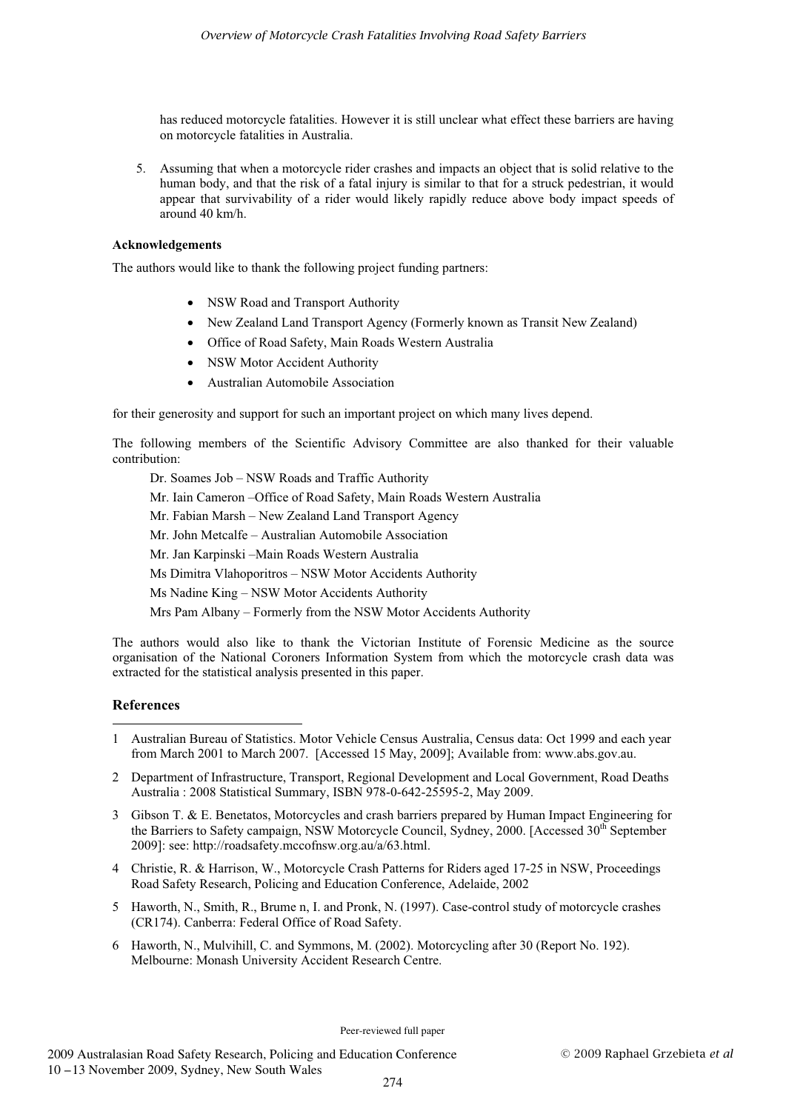has reduced motorcycle fatalities. However it is still unclear what effect these barriers are having on motorcycle fatalities in Australia.

5. Assuming that when a motorcycle rider crashes and impacts an object that is solid relative to the human body, and that the risk of a fatal injury is similar to that for a struck pedestrian, it would appear that survivability of a rider would likely rapidly reduce above body impact speeds of around 40 km/h.

## **Acknowledgements**

The authors would like to thank the following project funding partners:

- NSW Road and Transport Authority
- New Zealand Land Transport Agency (Formerly known as Transit New Zealand)
- Office of Road Safety, Main Roads Western Australia
- NSW Motor Accident Authority
- Australian Automobile Association

for their generosity and support for such an important project on which many lives depend.

The following members of the Scientific Advisory Committee are also thanked for their valuable contribution:

Dr. Soames Job – NSW Roads and Traffic Authority

Mr. Iain Cameron –Office of Road Safety, Main Roads Western Australia

Mr. Fabian Marsh – New Zealand Land Transport Agency

Mr. John Metcalfe – Australian Automobile Association

Mr. Jan Karpinski –Main Roads Western Australia

Ms Dimitra Vlahoporitros – NSW Motor Accidents Authority

Ms Nadine King – NSW Motor Accidents Authority

Mrs Pam Albany – Formerly from the NSW Motor Accidents Authority

The authors would also like to thank the Victorian Institute of Forensic Medicine as the source organisation of the National Coroners Information System from which the motorcycle crash data was extracted for the statistical analysis presented in this paper.

#### **References**  ----------------------

-------------------------------------

- 1 Australian Bureau of Statistics. Motor Vehicle Census Australia, Census data: Oct 1999 and each year from March 2001 to March 2007. [Accessed 15 May, 2009]; Available from: www.abs.gov.au.
- 2 Department of Infrastructure, Transport, Regional Development and Local Government, Road Deaths Australia : 2008 Statistical Summary, ISBN 978-0-642-25595-2, May 2009.
- 3 Gibson T. & E. Benetatos, Motorcycles and crash barriers prepared by Human Impact Engineering for the Barriers to Safety campaign, NSW Motorcycle Council, Sydney, 2000. [Accessed 30<sup>th</sup> September 2009]: see: http://roadsafety.mccofnsw.org.au/a/63.html.
- 4 Christie, R. & Harrison, W., Motorcycle Crash Patterns for Riders aged 17-25 in NSW, Proceedings Road Safety Research, Policing and Education Conference, Adelaide, 2002
- 5 Haworth, N., Smith, R., Brume n, I. and Pronk, N. (1997). Case-control study of motorcycle crashes (CR174). Canberra: Federal Office of Road Safety.
- 6 Haworth, N., Mulvihill, C. and Symmons, M. (2002). Motorcycling after 30 (Report No. 192). Melbourne: Monash University Accident Research Centre.